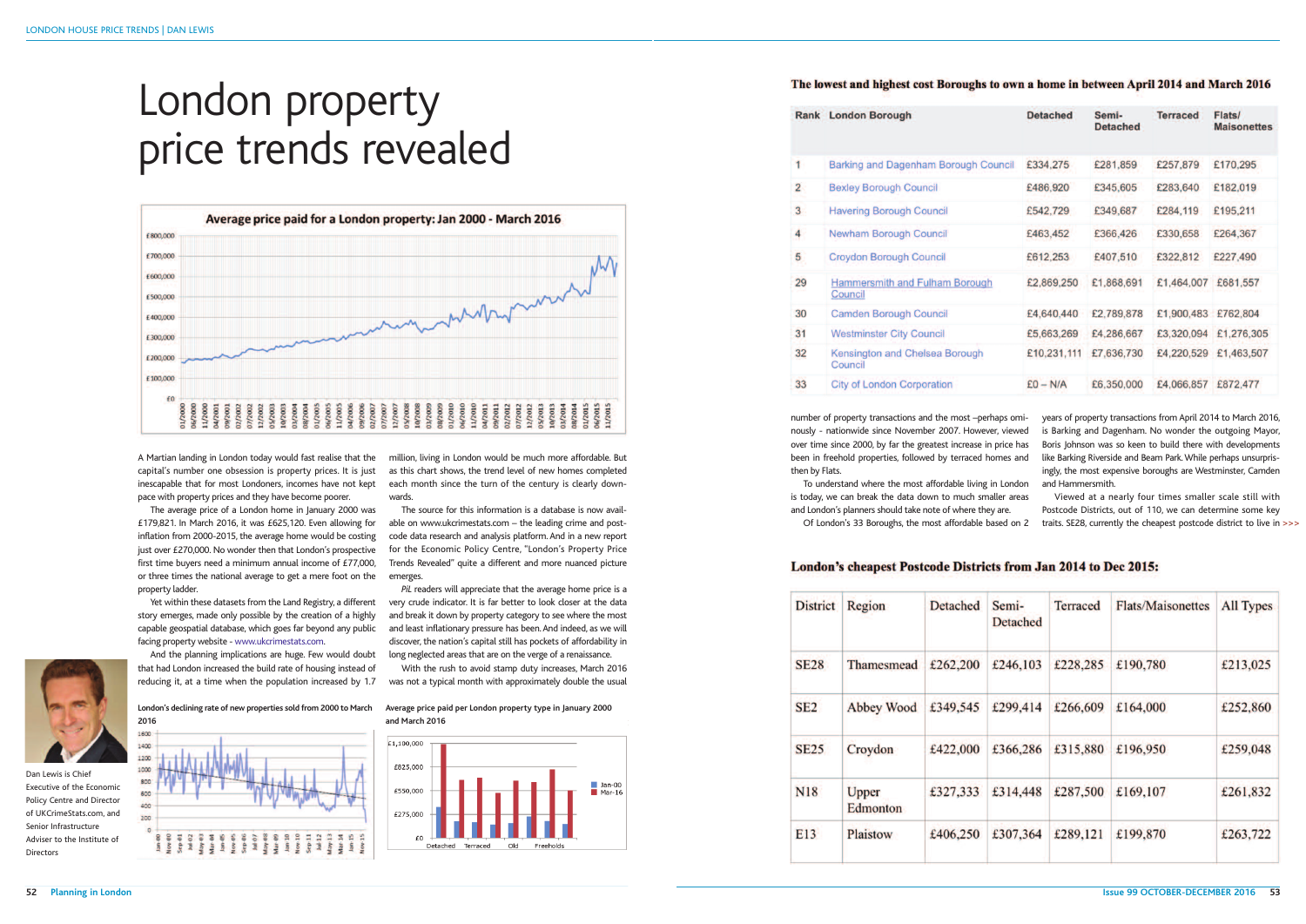number of property transactions and the most –perhaps ominously - nationwide since November 2007. However, viewed over time since 2000, by far the greatest increase in price has been in freehold properties, followed by terraced homes and then by Flats.

To understand where the most affordable living in London is today, we can break the data down to much smaller areas and London's planners should take note of where they are. Of London's 33 Boroughs, the most affordable based on 2

# London's cheapest Postcode Districts from Jan 2014 to Dec 2015:

| <b>District</b> | Region            | <b>Detached</b> | Semi-<br><b>Detached</b> | <b>Terraced</b> | <b>Flats/Maisonettes</b> | All Types |
|-----------------|-------------------|-----------------|--------------------------|-----------------|--------------------------|-----------|
| <b>SE28</b>     | Thamesmead        | £262,200        | £246,103                 | £228,285        | £190,780                 | £213,025  |
| SE <sub>2</sub> | Abbey Wood        | £349,545        | £299,414                 | £266,609        | £164,000                 | £252,860  |
| <b>SE25</b>     | Croydon           | £422,000        | £366,286                 | £315,880        | £196,950                 | £259,048  |
| <b>N18</b>      | Upper<br>Edmonton | £327,333        | £314,448                 | £287,500        | £169,107                 | £261,832  |
| E13             | Plaistow          | £406,250        | £307,364                 | £289,121        | £199,870                 | £263,722  |

years of property transactions from April 2014 to March 2016, is Barking and Dagenham. No wonder the outgoing Mayor, Boris Johnson was so keen to build there with developments like Barking Riverside and Beam Park.While perhaps unsurprisingly, the most expensive boroughs are Westminster, Camden and Hammersmith.



A Martian landing in London today would fast realise that the capital's number one obsession is property prices. It is just inescapable that for most Londoners, incomes have not kept pace with property prices and they have become poorer.

The average price of a London home in January 2000 was £179,821. In March 2016, it was £625,120. Even allowing for inflation from 2000-2015, the average home would be costing just over £270,000. No wonder then that London's prospective first time buyers need a minimum annual income of £77,000, or three times the national average to get a mere foot on the property ladder.

**2016** 1600

Yet within these datasets from the Land Registry, a different story emerges, made only possible by the creation of a highly capable geospatial database, which goes far beyond any public facing property website - www.ukcrimestats.com.

Viewed at a nearly four times smaller scale still with Postcode Districts, out of 110, we can determine some key traits. SE28, currently the cheapest postcode district to live in >>>

And the planning implications are huge. Few would doubt that had London increased the build rate of housing instead of reducing it, at a time when the population increased by 1.7

million, living in London would be much more affordable. But as this chart shows, the trend level of new homes completed each month since the turn of the century is clearly downwards.

The source for this information is a database is now available on www.ukcrimestats.com – the leading crime and postcode data research and analysis platform. And in a new report for the Economic Policy Centre, "London's Property Price Trends Revealed" quite a different and more nuanced picture emerges.

*PiL* readers will appreciate that the average home price is a very crude indicator. It is far better to look closer at the data and break it down by property category to see where the most and least inflationary pressure has been.And indeed, as we will discover, the nation's capital still has pockets of affordability in long neglected areas that are on the verge of a renaissance.

With the rush to avoid stamp duty increases, March 2016 was not a typical month with approximately double the usual

# London property price trends revealed



**London's declining rate of new properties sold from 2000 to March**

 $1400$  $1000$ 800 soc  $400$  $200$ 

**Average price paid per London property type in January 2000 and March 2016**



#### The lowest and highest cost Boroughs to own a home in between April 2014 and March 2016

|                         | <b>Rank</b> London Borough                       | <b>Detached</b> | Semi-<br><b>Detached</b> | <b>Terraced</b>     | <b>Flats/</b><br><b>Maisonettes</b> |
|-------------------------|--------------------------------------------------|-----------------|--------------------------|---------------------|-------------------------------------|
| 1                       | <b>Barking and Dagenham Borough Council</b>      | £334,275        | £281,859                 | £257,879            | £170,295                            |
| $\overline{2}$          | <b>Bexley Borough Council</b>                    | £486,920        | £345,605                 | £283,640            | £182,019                            |
| $\overline{\mathbf{3}}$ | <b>Havering Borough Council</b>                  | £542,729        | £349,687                 | £284,119            | £195,211                            |
| 4                       | <b>Newham Borough Council</b>                    | £463,452        | £366,426                 | £330,658            | £264,367                            |
| 5                       | <b>Croydon Borough Council</b>                   | £612,253        | £407,510                 | £322,812            | £227,490                            |
| 29                      | <b>Hammersmith and Fulham Borough</b><br>Council | £2,869,250      | £1,868,691               | £1,464,007          | £681,557                            |
| 30                      | <b>Camden Borough Council</b>                    | £4,640,440      | £2,789,878               | £1,900,483 £762,804 |                                     |
| 31                      | <b>Westminster City Council</b>                  | £5,663,269      | £4,286,667               | £3,320,094          | £1,276,305                          |
| 32                      | Kensington and Chelsea Borough<br>Council        | £10,231,111     | £7,636,730               | £4,220,529          | £1,463,507                          |
| 33                      | <b>City of London Corporation</b>                | $E0 - N/A$      | £6,350,000               | £4,066,857          | £872,477                            |